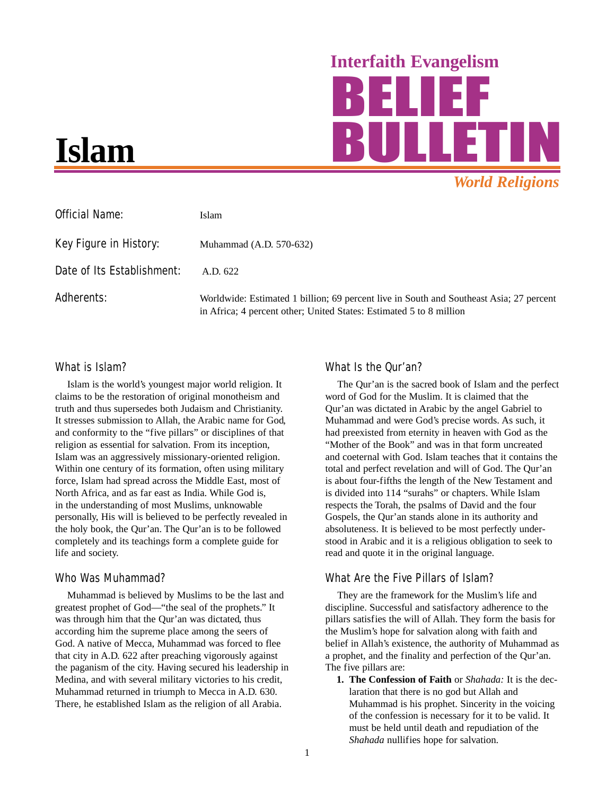

| <b>Official Name:</b>      | Islam                                                                                                                                                          |
|----------------------------|----------------------------------------------------------------------------------------------------------------------------------------------------------------|
| Key Figure in History:     | Muhammad (A.D. 570-632)                                                                                                                                        |
| Date of Its Establishment: | A.D. 622                                                                                                                                                       |
| <b>Adherents:</b>          | Worldwide: Estimated 1 billion; 69 percent live in South and Southeast Asia; 27 percent<br>in Africa; 4 percent other; United States: Estimated 5 to 8 million |

# What is Islam?

Islam is the world's youngest major world religion. It claims to be the restoration of original monotheism and truth and thus supersedes both Judaism and Christianity. It stresses submission to Allah, the Arabic name for God, and conformity to the "five pillars" or disciplines of that religion as essential for salvation. From its inception, Islam was an aggressively missionary-oriented religion. Within one century of its formation, often using military force, Islam had spread across the Middle East, most of North Africa, and as far east as India. While God is, in the understanding of most Muslims, unknowable personally, His will is believed to be perfectly revealed in the holy book, the Qur'an. The Qur'an is to be followed completely and its teachings form a complete guide for life and society.

## Who Was Muhammad?

Muhammad is believed by Muslims to be the last and greatest prophet of God—"the seal of the prophets." It was through him that the Qur'an was dictated, thus according him the supreme place among the seers of God. A native of Mecca, Muhammad was forced to flee that city in A.D. 622 after preaching vigorously against the paganism of the city. Having secured his leadership in Medina, and with several military victories to his credit, Muhammad returned in triumph to Mecca in A.D. 630. There, he established Islam as the religion of all Arabia.

# What Is the Qur'an?

The Qur'an is the sacred book of Islam and the perfect word of God for the Muslim. It is claimed that the Qur'an was dictated in Arabic by the angel Gabriel to Muhammad and were God's precise words. As such, it had preexisted from eternity in heaven with God as the "Mother of the Book" and was in that form uncreated and coeternal with God. Islam teaches that it contains the total and perfect revelation and will of God. The Qur'an is about four-fifths the length of the New Testament and is divided into 114 "surahs" or chapters. While Islam respects the Torah, the psalms of David and the four Gospels, the Qur'an stands alone in its authority and absoluteness. It is believed to be most perfectly understood in Arabic and it is a religious obligation to seek to read and quote it in the original language.

## What Are the Five Pillars of Islam?

They are the framework for the Muslim's life and discipline. Successful and satisfactory adherence to the pillars satisfies the will of Allah. They form the basis for the Muslim's hope for salvation along with faith and belief in Allah's existence, the authority of Muhammad as a prophet, and the finality and perfection of the Qur'an. The five pillars are:

**1. The Confession of Faith** or *Shahada:* It is the declaration that there is no god but Allah and Muhammad is his prophet. Sincerity in the voicing of the confession is necessary for it to be valid. It must be held until death and repudiation of the *Shahada* nullifies hope for salvation.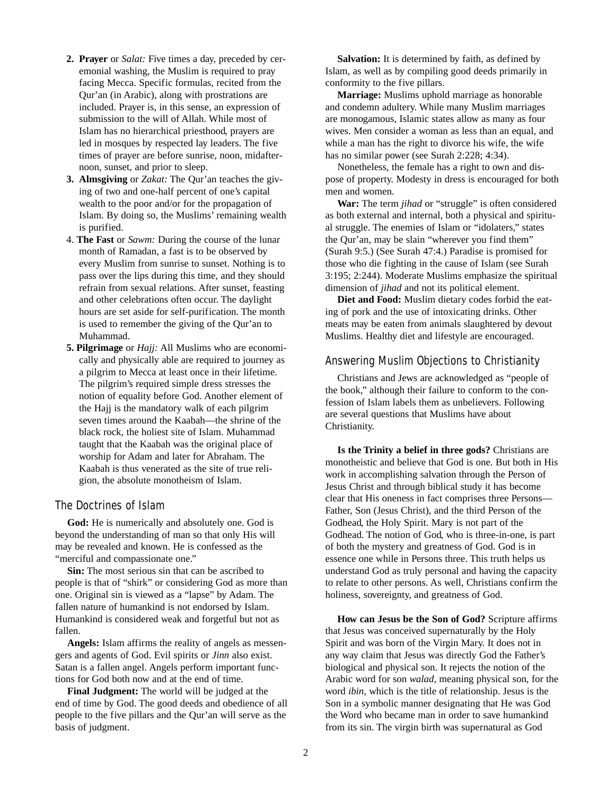- **2. Prayer** or *Salat:* Five times a day, preceded by ceremonial washing, the Muslim is required to pray facing Mecca. Specific formulas, recited from the Qur'an (in Arabic), along with prostrations are included. Prayer is, in this sense, an expression of submission to the will of Allah. While most of Islam has no hierarchical priesthood, prayers are led in mosques by respected lay leaders. The five times of prayer are before sunrise, noon, midafternoon, sunset, and prior to sleep.
- **3. Almsgiving** or *Zakat:* The Qur'an teaches the giving of two and one-half percent of one's capital wealth to the poor and/or for the propagation of Islam. By doing so, the Muslims' remaining wealth is purified.
- 4. **The Fast** or *Sawm:* During the course of the lunar month of Ramadan, a fast is to be observed by every Muslim from sunrise to sunset. Nothing is to pass over the lips during this time, and they should refrain from sexual relations. After sunset, feasting and other celebrations often occur. The daylight hours are set aside for self-purification. The month is used to remember the giving of the Qur'an to Muhammad.
- **5. Pilgrimage** or *Hajj:* All Muslims who are economically and physically able are required to journey as a pilgrim to Mecca at least once in their lifetime. The pilgrim's required simple dress stresses the notion of equality before God. Another element of the Hajj is the mandatory walk of each pilgrim seven times around the Kaabah—the shrine of the black rock, the holiest site of Islam. Muhammad taught that the Kaabah was the original place of worship for Adam and later for Abraham. The Kaabah is thus venerated as the site of true religion, the absolute monotheism of Islam.

#### The Doctrines of Islam

**God:** He is numerically and absolutely one. God is beyond the understanding of man so that only His will may be revealed and known. He is confessed as the "merciful and compassionate one."

**Sin:** The most serious sin that can be ascribed to people is that of "shirk" or considering God as more than one. Original sin is viewed as a "lapse" by Adam. The fallen nature of humankind is not endorsed by Islam. Humankind is considered weak and forgetful but not as fallen.

**Angels:** Islam affirms the reality of angels as messengers and agents of God. Evil spirits or *Jinn* also exist. Satan is a fallen angel. Angels perform important functions for God both now and at the end of time.

**Final Judgment:** The world will be judged at the end of time by God. The good deeds and obedience of all people to the five pillars and the Qur'an will serve as the basis of judgment.

**Salvation:** It is determined by faith, as defined by Islam, as well as by compiling good deeds primarily in conformity to the five pillars.

**Marriage:** Muslims uphold marriage as honorable and condemn adultery. While many Muslim marriages are monogamous, Islamic states allow as many as four wives. Men consider a woman as less than an equal, and while a man has the right to divorce his wife, the wife has no similar power (see Surah 2:228; 4:34).

Nonetheless, the female has a right to own and dispose of property. Modesty in dress is encouraged for both men and women.

**War:** The term *jihad* or "struggle" is often considered as both external and internal, both a physical and spiritual struggle. The enemies of Islam or "idolaters," states the Qur'an, may be slain "wherever you find them" (Surah 9:5.) (See Surah 47:4.) Paradise is promised for those who die fighting in the cause of Islam (see Surah 3:195; 2:244). Moderate Muslims emphasize the spiritual dimension of *jihad* and not its political element.

**Diet and Food:** Muslim dietary codes forbid the eating of pork and the use of intoxicating drinks. Other meats may be eaten from animals slaughtered by devout Muslims. Healthy diet and lifestyle are encouraged.

#### Answering Muslim Objections to Christianity

Christians and Jews are acknowledged as "people of the book," although their failure to conform to the confession of Islam labels them as unbelievers. Following are several questions that Muslims have about Christianity.

**Is the Trinity a belief in three gods?** Christians are monotheistic and believe that God is one. But both in His work in accomplishing salvation through the Person of Jesus Christ and through biblical study it has become clear that His oneness in fact comprises three Persons— Father, Son (Jesus Christ), and the third Person of the Godhead, the Holy Spirit. Mary is not part of the Godhead. The notion of God, who is three-in-one, is part of both the mystery and greatness of God. God is in essence one while in Persons three. This truth helps us understand God as truly personal and having the capacity to relate to other persons. As well, Christians confirm the holiness, sovereignty, and greatness of God.

**How can Jesus be the Son of God?** Scripture affirms that Jesus was conceived supernaturally by the Holy Spirit and was born of the Virgin Mary. It does not in any way claim that Jesus was directly God the Father's biological and physical son. It rejects the notion of the Arabic word for son *walad,* meaning physical son, for the word *ibin,* which is the title of relationship. Jesus is the Son in a symbolic manner designating that He was God the Word who became man in order to save humankind from its sin. The virgin birth was supernatural as God